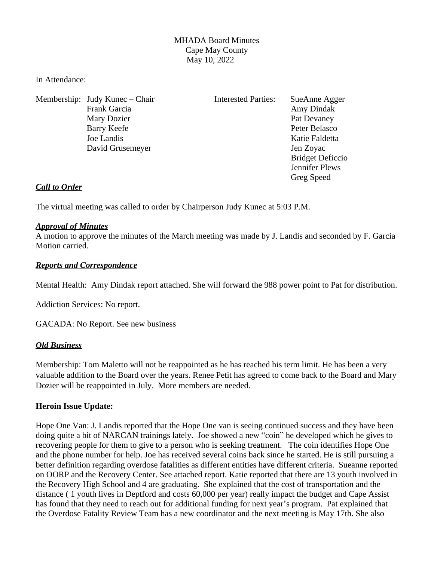## MHADA Board Minutes Cape May County May 10, 2022

In Attendance:

Membership: Judy Kunec – Chair Interested Parties: SueAnne Agger Frank Garcia **Amy Dindak** Mary Dozier Pat Devaney Barry Keefe Peter Belasco Joe Landis Katie Faldetta David Grusemeyer Jen Zoyac

 Bridget Deficcio Jennifer Plews Greg Speed

### *Call to Order*

The virtual meeting was called to order by Chairperson Judy Kunec at 5:03 P.M.

#### *Approval of Minutes*

A motion to approve the minutes of the March meeting was made by J. Landis and seconded by F. Garcia Motion carried.

### *Reports and Correspondence*

Mental Health: Amy Dindak report attached. She will forward the 988 power point to Pat for distribution.

Addiction Services: No report.

GACADA: No Report. See new business

### *Old Business*

Membership: Tom Maletto will not be reappointed as he has reached his term limit. He has been a very valuable addition to the Board over the years. Renee Petit has agreed to come back to the Board and Mary Dozier will be reappointed in July. More members are needed.

#### **Heroin Issue Update:**

Hope One Van: J. Landis reported that the Hope One van is seeing continued success and they have been doing quite a bit of NARCAN trainings lately. Joe showed a new "coin" he developed which he gives to recovering people for them to give to a person who is seeking treatment. The coin identifies Hope One and the phone number for help. Joe has received several coins back since he started. He is still pursuing a better definition regarding overdose fatalities as different entities have different criteria. Sueanne reported on OORP and the Recovery Center. See attached report. Katie reported that there are 13 youth involved in the Recovery High School and 4 are graduating. She explained that the cost of transportation and the distance ( 1 youth lives in Deptford and costs 60,000 per year) really impact the budget and Cape Assist has found that they need to reach out for additional funding for next year's program. Pat explained that the Overdose Fatality Review Team has a new coordinator and the next meeting is May 17th. She also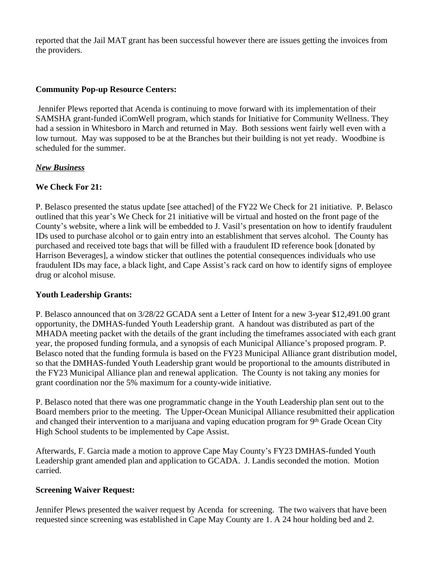reported that the Jail MAT grant has been successful however there are issues getting the invoices from the providers.

## **Community Pop-up Resource Centers:**

Jennifer Plews reported that Acenda is continuing to move forward with its implementation of their SAMSHA grant-funded iComWell program, which stands for Initiative for Community Wellness. They had a session in Whitesboro in March and returned in May. Both sessions went fairly well even with a low turnout. May was supposed to be at the Branches but their building is not yet ready. Woodbine is scheduled for the summer.

### *New Business*

## **We Check For 21:**

P. Belasco presented the status update [see attached] of the FY22 We Check for 21 initiative. P. Belasco outlined that this year's We Check for 21 initiative will be virtual and hosted on the front page of the County's website, where a link will be embedded to J. Vasil's presentation on how to identify fraudulent IDs used to purchase alcohol or to gain entry into an establishment that serves alcohol. The County has purchased and received tote bags that will be filled with a fraudulent ID reference book [donated by Harrison Beverages], a window sticker that outlines the potential consequences individuals who use fraudulent IDs may face, a black light, and Cape Assist's rack card on how to identify signs of employee drug or alcohol misuse.

### **Youth Leadership Grants:**

P. Belasco announced that on 3/28/22 GCADA sent a Letter of Intent for a new 3-year \$12,491.00 grant opportunity, the DMHAS-funded Youth Leadership grant. A handout was distributed as part of the MHADA meeting packet with the details of the grant including the timeframes associated with each grant year, the proposed funding formula, and a synopsis of each Municipal Alliance's proposed program. P. Belasco noted that the funding formula is based on the FY23 Municipal Alliance grant distribution model, so that the DMHAS-funded Youth Leadership grant would be proportional to the amounts distributed in the FY23 Municipal Alliance plan and renewal application. The County is not taking any monies for grant coordination nor the 5% maximum for a county-wide initiative.

P. Belasco noted that there was one programmatic change in the Youth Leadership plan sent out to the Board members prior to the meeting. The Upper-Ocean Municipal Alliance resubmitted their application and changed their intervention to a marijuana and vaping education program for 9th Grade Ocean City High School students to be implemented by Cape Assist.

Afterwards, F. Garcia made a motion to approve Cape May County's FY23 DMHAS-funded Youth Leadership grant amended plan and application to GCADA. J. Landis seconded the motion. Motion carried.

### **Screening Waiver Request:**

Jennifer Plews presented the waiver request by Acenda for screening. The two waivers that have been requested since screening was established in Cape May County are 1. A 24 hour holding bed and 2.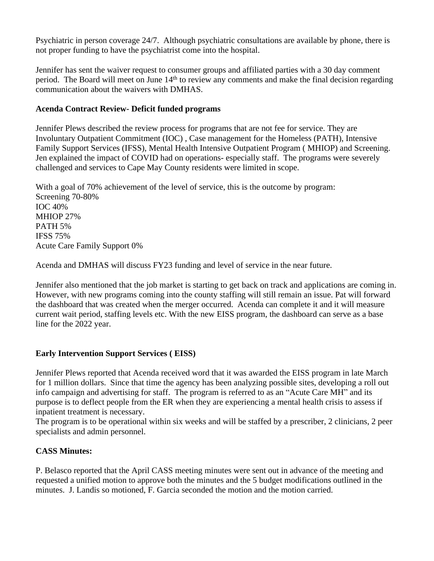Psychiatric in person coverage 24/7. Although psychiatric consultations are available by phone, there is not proper funding to have the psychiatrist come into the hospital.

Jennifer has sent the waiver request to consumer groups and affiliated parties with a 30 day comment period. The Board will meet on June 14<sup>th</sup> to review any comments and make the final decision regarding communication about the waivers with DMHAS.

## **Acenda Contract Review- Deficit funded programs**

Jennifer Plews described the review process for programs that are not fee for service. They are Involuntary Outpatient Commitment (IOC) , Case management for the Homeless (PATH), Intensive Family Support Services (IFSS), Mental Health Intensive Outpatient Program ( MHIOP) and Screening. Jen explained the impact of COVID had on operations- especially staff. The programs were severely challenged and services to Cape May County residents were limited in scope.

With a goal of 70% achievement of the level of service, this is the outcome by program: Screening 70-80% IOC 40% MHIOP 27% PATH 5% IFSS 75% Acute Care Family Support 0%

Acenda and DMHAS will discuss FY23 funding and level of service in the near future.

Jennifer also mentioned that the job market is starting to get back on track and applications are coming in. However, with new programs coming into the county staffing will still remain an issue. Pat will forward the dashboard that was created when the merger occurred. Acenda can complete it and it will measure current wait period, staffing levels etc. With the new EISS program, the dashboard can serve as a base line for the 2022 year.

# **Early Intervention Support Services ( EISS)**

Jennifer Plews reported that Acenda received word that it was awarded the EISS program in late March for 1 million dollars. Since that time the agency has been analyzing possible sites, developing a roll out info campaign and advertising for staff. The program is referred to as an "Acute Care MH" and its purpose is to deflect people from the ER when they are experiencing a mental health crisis to assess if inpatient treatment is necessary.

The program is to be operational within six weeks and will be staffed by a prescriber, 2 clinicians, 2 peer specialists and admin personnel.

# **CASS Minutes:**

P. Belasco reported that the April CASS meeting minutes were sent out in advance of the meeting and requested a unified motion to approve both the minutes and the 5 budget modifications outlined in the minutes. J. Landis so motioned, F. Garcia seconded the motion and the motion carried.